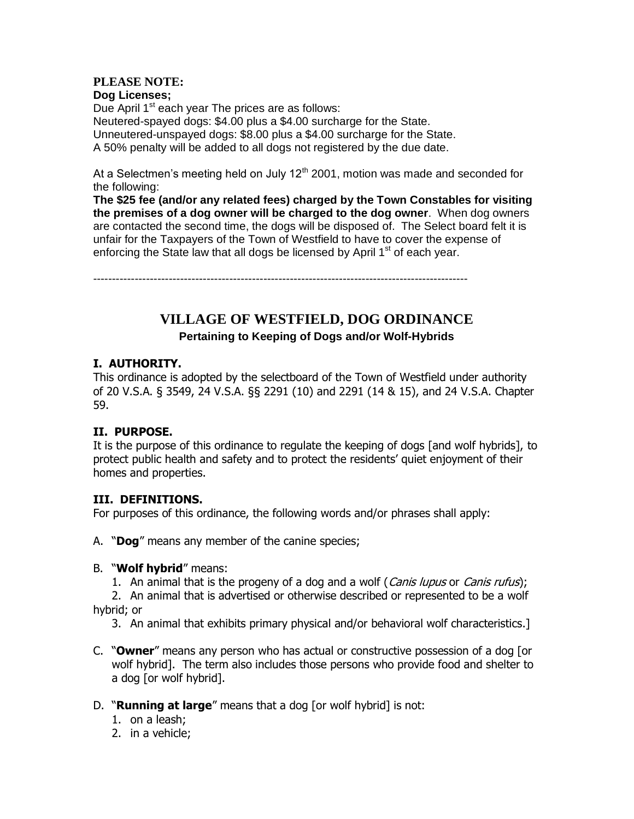# **PLEASE NOTE:**

**Dog Licenses;** Due April  $1<sup>st</sup>$  each year The prices are as follows: Neutered-spayed dogs: \$4.00 plus a \$4.00 surcharge for the State. Unneutered-unspayed dogs: \$8.00 plus a \$4.00 surcharge for the State. A 50% penalty will be added to all dogs not registered by the due date.

At a Selectmen's meeting held on July  $12<sup>th</sup>$  2001, motion was made and seconded for the following:

**The \$25 fee (and/or any related fees) charged by the Town Constables for visiting the premises of a dog owner will be charged to the dog owner**. When dog owners are contacted the second time, the dogs will be disposed of. The Select board felt it is unfair for the Taxpayers of the Town of Westfield to have to cover the expense of enforcing the State law that all dogs be licensed by April 1<sup>st</sup> of each year.

---------------------------------------------------------------------------------------------------

# **VILLAGE OF WESTFIELD, DOG ORDINANCE**

**Pertaining to Keeping of Dogs and/or Wolf-Hybrids**

### **I. AUTHORITY.**

This ordinance is adopted by the selectboard of the Town of Westfield under authority of 20 V.S.A. § 3549, 24 V.S.A. §§ 2291 (10) and 2291 (14 & 15), and 24 V.S.A. Chapter 59.

### **II. PURPOSE.**

It is the purpose of this ordinance to regulate the keeping of dogs [and wolf hybrids], to protect public health and safety and to protect the residents' quiet enjoyment of their homes and properties.

### **III. DEFINITIONS.**

For purposes of this ordinance, the following words and/or phrases shall apply:

- A. "**Dog**" means any member of the canine species;
- B. "**Wolf hybrid**" means:
	- 1. An animal that is the progeny of a dog and a wolf (Canis lupus or Canis rufus);

2. An animal that is advertised or otherwise described or represented to be a wolf hybrid; or

- 3. An animal that exhibits primary physical and/or behavioral wolf characteristics.]
- C. "**Owner**" means any person who has actual or constructive possession of a dog [or wolf hybrid]. The term also includes those persons who provide food and shelter to a dog [or wolf hybrid].
- D. "**Running at large**" means that a dog [or wolf hybrid] is not:
	- 1. on a leash;
	- 2. in a vehicle;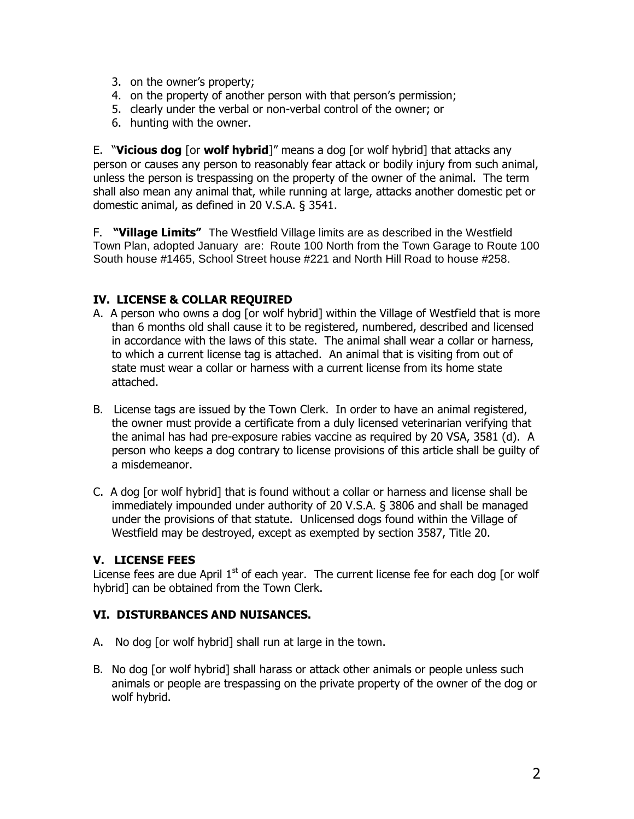- 3. on the owner's property;
- 4. on the property of another person with that person's permission;
- 5. clearly under the verbal or non-verbal control of the owner; or
- 6. hunting with the owner.

E. "**Vicious dog** [or **wolf hybrid**]" means a dog [or wolf hybrid] that attacks any person or causes any person to reasonably fear attack or bodily injury from such animal, unless the person is trespassing on the property of the owner of the animal. The term shall also mean any animal that, while running at large, attacks another domestic pet or domestic animal, as defined in 20 V.S.A. § 3541.

F. **"Village Limits"** The Westfield Village limits are as described in the Westfield Town Plan, adopted January are: Route 100 North from the Town Garage to Route 100 South house #1465, School Street house #221 and North Hill Road to house #258.

### **IV. LICENSE & COLLAR REQUIRED**

- A. A person who owns a dog [or wolf hybrid] within the Village of Westfield that is more than 6 months old shall cause it to be registered, numbered, described and licensed in accordance with the laws of this state. The animal shall wear a collar or harness, to which a current license tag is attached. An animal that is visiting from out of state must wear a collar or harness with a current license from its home state attached.
- B. License tags are issued by the Town Clerk. In order to have an animal registered, the owner must provide a certificate from a duly licensed veterinarian verifying that the animal has had pre-exposure rabies vaccine as required by 20 VSA, 3581 (d). A person who keeps a dog contrary to license provisions of this article shall be guilty of a misdemeanor.
- C. A dog [or wolf hybrid] that is found without a collar or harness and license shall be immediately impounded under authority of 20 V.S.A. § 3806 and shall be managed under the provisions of that statute. Unlicensed dogs found within the Village of Westfield may be destroyed, except as exempted by section 3587, Title 20.

### **V. LICENSE FEES**

License fees are due April  $1<sup>st</sup>$  of each year. The current license fee for each dog [or wolf hybrid] can be obtained from the Town Clerk.

### **VI. DISTURBANCES AND NUISANCES.**

- A. No dog [or wolf hybrid] shall run at large in the town.
- B. No dog [or wolf hybrid] shall harass or attack other animals or people unless such animals or people are trespassing on the private property of the owner of the dog or wolf hybrid.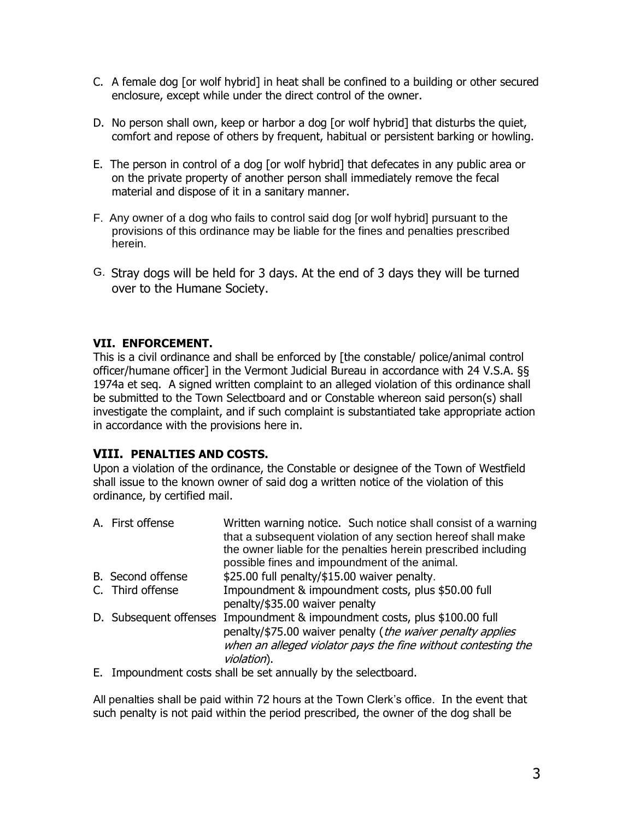- C. A female dog [or wolf hybrid] in heat shall be confined to a building or other secured enclosure, except while under the direct control of the owner.
- D. No person shall own, keep or harbor a dog [or wolf hybrid] that disturbs the quiet, comfort and repose of others by frequent, habitual or persistent barking or howling.
- E. The person in control of a dog [or wolf hybrid] that defecates in any public area or on the private property of another person shall immediately remove the fecal material and dispose of it in a sanitary manner.
- F. Any owner of a dog who fails to control said dog [or wolf hybrid] pursuant to the provisions of this ordinance may be liable for the fines and penalties prescribed herein.
- G. Stray dogs will be held for 3 days. At the end of 3 days they will be turned over to the Humane Society.

### **VII. ENFORCEMENT.**

This is a civil ordinance and shall be enforced by [the constable/ police/animal control officer/humane officer] in the Vermont Judicial Bureau in accordance with 24 V.S.A. §§ 1974a et seq. A signed written complaint to an alleged violation of this ordinance shall be submitted to the Town Selectboard and or Constable whereon said person(s) shall investigate the complaint, and if such complaint is substantiated take appropriate action in accordance with the provisions here in.

### **VIII. PENALTIES AND COSTS.**

Upon a violation of the ordinance, the Constable or designee of the Town of Westfield shall issue to the known owner of said dog a written notice of the violation of this ordinance, by certified mail.

- A. First offense Written warning notice. Such notice shall consist of a warning that a subsequent violation of any section hereof shall make the owner liable for the penalties herein prescribed including possible fines and impoundment of the animal. B. Second offense \$25.00 full penalty/\$15.00 waiver penalty. C. Third offense **Impoundment & impoundment costs, plus \$50.00 full** penalty/\$35.00 waiver penalty D. Subsequent offenses Impoundment & impoundment costs, plus \$100.00 full penalty/\$75.00 waiver penalty (the waiver penalty applies when an alleged violator pays the fine without contesting the violation).
- E. Impoundment costs shall be set annually by the selectboard.

All penalties shall be paid within 72 hours at the Town Clerk's office. In the event that such penalty is not paid within the period prescribed, the owner of the dog shall be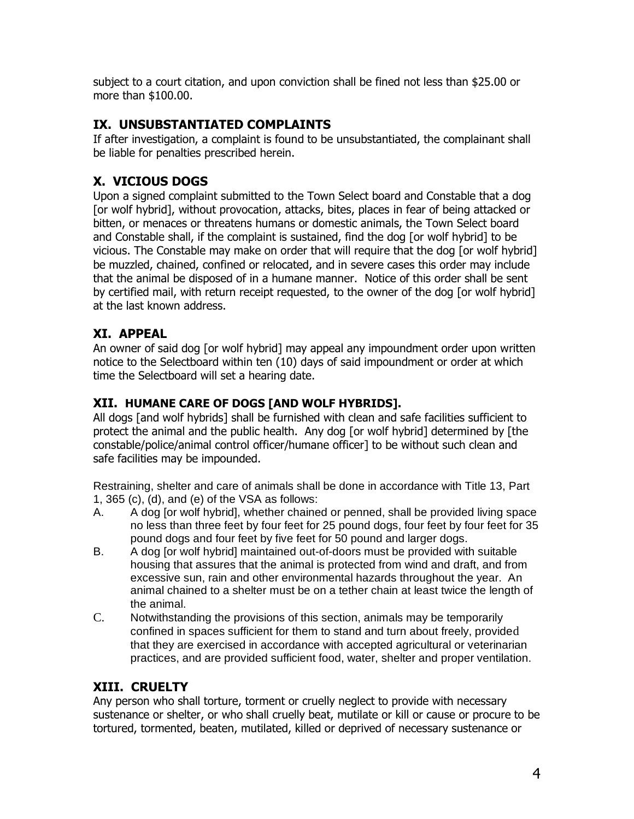subject to a court citation, and upon conviction shall be fined not less than \$25.00 or more than \$100.00.

### **IX. UNSUBSTANTIATED COMPLAINTS**

If after investigation, a complaint is found to be unsubstantiated, the complainant shall be liable for penalties prescribed herein.

## **X. VICIOUS DOGS**

Upon a signed complaint submitted to the Town Select board and Constable that a dog [or wolf hybrid], without provocation, attacks, bites, places in fear of being attacked or bitten, or menaces or threatens humans or domestic animals, the Town Select board and Constable shall, if the complaint is sustained, find the dog [or wolf hybrid] to be vicious. The Constable may make on order that will require that the dog [or wolf hybrid] be muzzled, chained, confined or relocated, and in severe cases this order may include that the animal be disposed of in a humane manner. Notice of this order shall be sent by certified mail, with return receipt requested, to the owner of the dog [or wolf hybrid] at the last known address.

### **XI. APPEAL**

An owner of said dog [or wolf hybrid] may appeal any impoundment order upon written notice to the Selectboard within ten (10) days of said impoundment or order at which time the Selectboard will set a hearing date.

### **XII. HUMANE CARE OF DOGS [AND WOLF HYBRIDS].**

All dogs [and wolf hybrids] shall be furnished with clean and safe facilities sufficient to protect the animal and the public health. Any dog [or wolf hybrid] determined by [the constable/police/animal control officer/humane officer] to be without such clean and safe facilities may be impounded.

Restraining, shelter and care of animals shall be done in accordance with Title 13, Part 1, 365 (c), (d), and (e) of the VSA as follows:

- A. A dog [or wolf hybrid], whether chained or penned, shall be provided living space no less than three feet by four feet for 25 pound dogs, four feet by four feet for 35 pound dogs and four feet by five feet for 50 pound and larger dogs.
- B. A dog [or wolf hybrid] maintained out-of-doors must be provided with suitable housing that assures that the animal is protected from wind and draft, and from excessive sun, rain and other environmental hazards throughout the year. An animal chained to a shelter must be on a tether chain at least twice the length of the animal.
- C. Notwithstanding the provisions of this section, animals may be temporarily confined in spaces sufficient for them to stand and turn about freely, provided that they are exercised in accordance with accepted agricultural or veterinarian practices, and are provided sufficient food, water, shelter and proper ventilation.

## **XIII. CRUELTY**

Any person who shall torture, torment or cruelly neglect to provide with necessary sustenance or shelter, or who shall cruelly beat, mutilate or kill or cause or procure to be tortured, tormented, beaten, mutilated, killed or deprived of necessary sustenance or